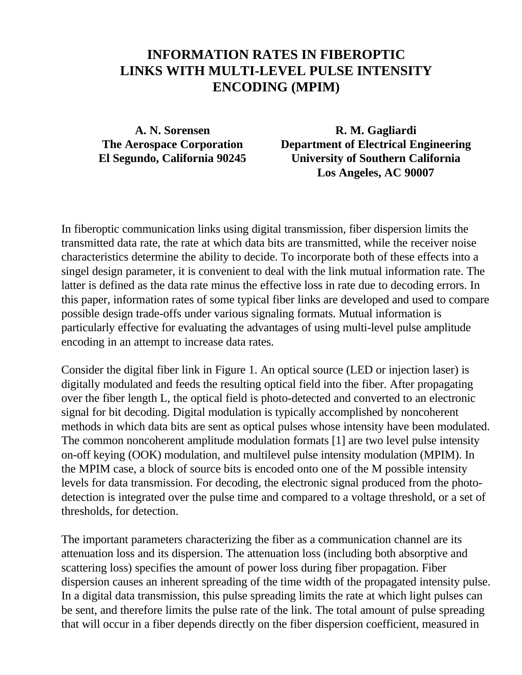## **INFORMATION RATES IN FIBEROPTIC LINKS WITH MULTI-LEVEL PULSE INTENSITY ENCODING (MPIM)**

**A. N. Sorensen R. M. Gagliardi The Aerospace Corporation Department of Electrical Engineering El Segundo, California 90245 University of Southern California Los Angeles, AC 90007**

In fiberoptic communication links using digital transmission, fiber dispersion limits the transmitted data rate, the rate at which data bits are transmitted, while the receiver noise characteristics determine the ability to decide. To incorporate both of these effects into a singel design parameter, it is convenient to deal with the link mutual information rate. The latter is defined as the data rate minus the effective loss in rate due to decoding errors. In this paper, information rates of some typical fiber links are developed and used to compare possible design trade-offs under various signaling formats. Mutual information is particularly effective for evaluating the advantages of using multi-level pulse amplitude encoding in an attempt to increase data rates.

Consider the digital fiber link in Figure 1. An optical source (LED or injection laser) is digitally modulated and feeds the resulting optical field into the fiber. After propagating over the fiber length L, the optical field is photo-detected and converted to an electronic signal for bit decoding. Digital modulation is typically accomplished by noncoherent methods in which data bits are sent as optical pulses whose intensity have been modulated. The common noncoherent amplitude modulation formats [1] are two level pulse intensity on-off keying (OOK) modulation, and multilevel pulse intensity modulation (MPIM). In the MPIM case, a block of source bits is encoded onto one of the M possible intensity levels for data transmission. For decoding, the electronic signal produced from the photodetection is integrated over the pulse time and compared to a voltage threshold, or a set of thresholds, for detection.

The important parameters characterizing the fiber as a communication channel are its attenuation loss and its dispersion. The attenuation loss (including both absorptive and scattering loss) specifies the amount of power loss during fiber propagation. Fiber dispersion causes an inherent spreading of the time width of the propagated intensity pulse. In a digital data transmission, this pulse spreading limits the rate at which light pulses can be sent, and therefore limits the pulse rate of the link. The total amount of pulse spreading that will occur in a fiber depends directly on the fiber dispersion coefficient, measured in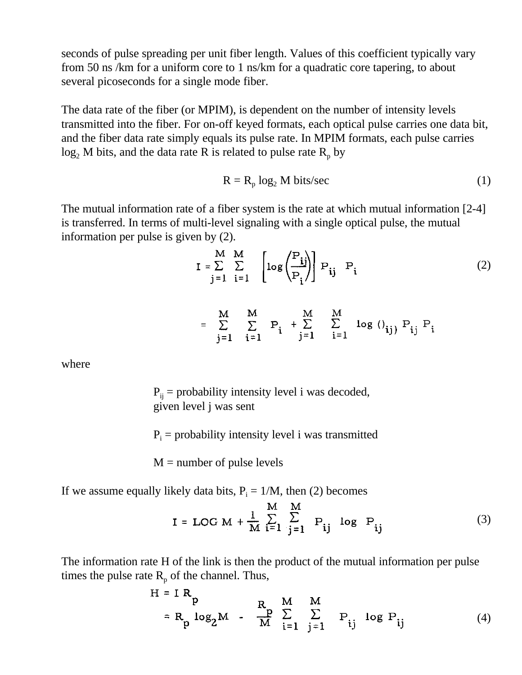seconds of pulse spreading per unit fiber length. Values of this coefficient typically vary from 50 ns /km for a uniform core to 1 ns/km for a quadratic core tapering, to about several picoseconds for a single mode fiber.

The data rate of the fiber (or MPIM), is dependent on the number of intensity levels transmitted into the fiber. For on-off keyed formats, each optical pulse carries one data bit, and the fiber data rate simply equals its pulse rate. In MPIM formats, each pulse carries  $log_2 M$  bits, and the data rate R is related to pulse rate  $R_p$  by

$$
R = R_p \log_2 M \text{ bits/sec}
$$
 (1)

The mutual information rate of a fiber system is the rate at which mutual information [2-4] is transferred. In terms of multi-level signaling with a single optical pulse, the mutual information per pulse is given by (2).

$$
I = \sum_{j=1}^{M} \sum_{i=1}^{M} \left[ \log \left( \frac{P_{ij}}{P_i} \right) \right] P_{ij} P_i
$$
 (2)

$$
= \sum_{j=1}^{M} \sum_{i=1}^{M} P_{i} + \sum_{j=1}^{M} \sum_{i=1}^{M} \log (1)_{ij} P_{ij} P_{i}
$$

where

 $P_{ij}$  = probability intensity level i was decoded, given level j was sent

 $P_i$  = probability intensity level i was transmitted

 $M =$  number of pulse levels

If we assume equally likely data bits,  $P_i = 1/M$ , then (2) becomes

$$
I = LOG M + \frac{1}{M} \sum_{i=1}^{M} \sum_{j=1}^{M} P_{ij} \log P_{ij}
$$
 (3)

The information rate H of the link is then the product of the mutual information per pulse times the pulse rate  $R_p$  of the channel. Thus,

$$
H = IR_p
$$
  
= R<sub>p</sub> log<sub>2</sub>M -  $\frac{R}{M}$   $\sum_{i=1}^{M} \sum_{j=1}^{M} P_{ij}$  log P<sub>ij</sub> (4)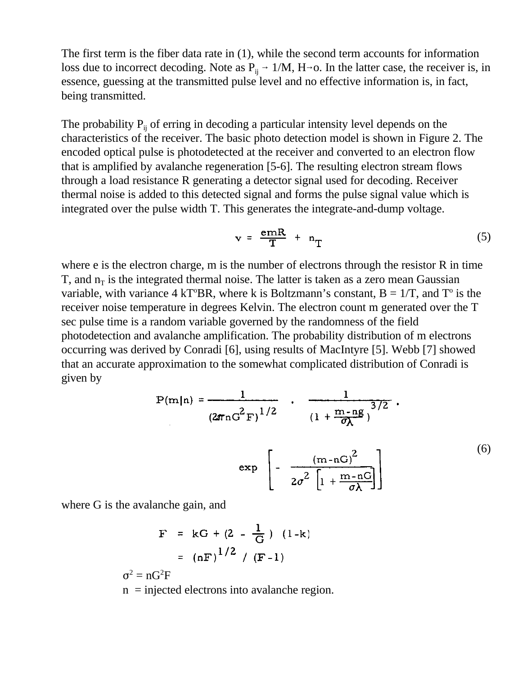The first term is the fiber data rate in (1), while the second term accounts for information loss due to incorrect decoding. Note as  $P_{ii} \rightarrow 1/M$ , H $\rightarrow$ o. In the latter case, the receiver is, in essence, guessing at the transmitted pulse level and no effective information is, in fact, being transmitted.

The probability  $P_{ii}$  of erring in decoding a particular intensity level depends on the characteristics of the receiver. The basic photo detection model is shown in Figure 2. The encoded optical pulse is photodetected at the receiver and converted to an electron flow that is amplified by avalanche regeneration [5-6]. The resulting electron stream flows through a load resistance R generating a detector signal used for decoding. Receiver thermal noise is added to this detected signal and forms the pulse signal value which is integrated over the pulse width T. This generates the integrate-and-dump voltage.

$$
v = \frac{emR}{T} + n_T \tag{5}
$$

where e is the electron charge, m is the number of electrons through the resistor R in time T, and  $n<sub>T</sub>$  is the integrated thermal noise. The latter is taken as a zero mean Gaussian variable, with variance  $4 \text{ kT}^{\circ} \text{BR}$ , where k is Boltzmann's constant,  $B = 1/T$ , and  $T^{\circ}$  is the receiver noise temperature in degrees Kelvin. The electron count m generated over the T sec pulse time is a random variable governed by the randomness of the field photodetection and avalanche amplification. The probability distribution of m electrons occurring was derived by Conradi [6], using results of MacIntyre [5]. Webb [7] showed that an accurate approximation to the somewhat complicated distribution of Conradi is given by

$$
P(m|n) = \frac{1}{(2\pi nG^{2}F)^{1/2}} \cdot \frac{1}{(1 + \frac{m-ng}{\sigma\lambda})^{3/2}}.
$$
  
exp
$$
\left[-\frac{(m-nG)^{2}}{2\sigma^{2}\left[1 + \frac{m-nG}{\sigma\lambda}\right]}\right]
$$
 (6)

where G is the avalanche gain, and

$$
F = kG + (2 - \frac{1}{G}) (1-k)
$$
  
=  $(nF)^{1/2} / (F-1)$ 

$$
\sigma^2 = nG^2F
$$
  
n = injected electrons into avalanche region.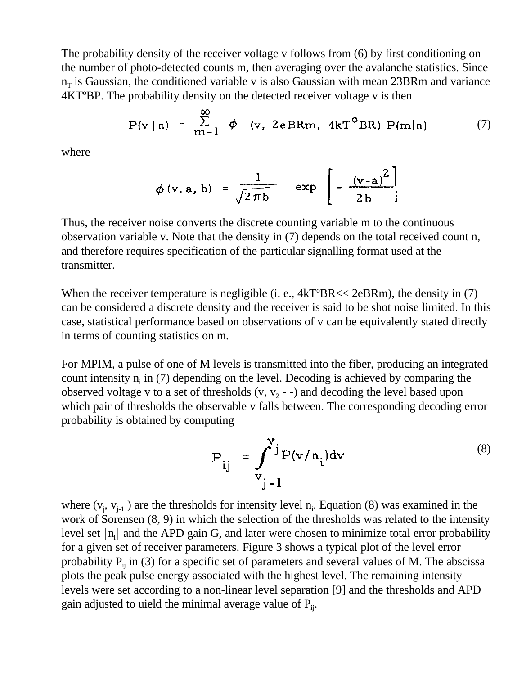The probability density of the receiver voltage v follows from (6) by first conditioning on the number of photo-detected counts m, then averaging over the avalanche statistics. Since  $n_T$  is Gaussian, the conditioned variable v is also Gaussian with mean 23BRm and variance  $4KT<sup>o</sup>BP$ . The probability density on the detected receiver voltage v is then

$$
P(v \mid n) = \sum_{m=1}^{\infty} \phi \quad (v, \text{ 2eBRm, 4kT}^{\circ} BR) P(m \mid n)
$$
 (7)

 $\blacksquare$ 

where

$$
\phi \text{ (v, a, b)} = \frac{1}{\sqrt{2\pi b}} \quad \exp \left[ -\frac{\text{(v-a)}^2}{2b} \right]
$$

Thus, the receiver noise converts the discrete counting variable m to the continuous observation variable v. Note that the density in (7) depends on the total received count n, and therefore requires specification of the particular signalling format used at the transmitter.

When the receiver temperature is negligible (i. e.,  $4kT^{\circ}BR \ll 2eBRm$ ), the density in (7) can be considered a discrete density and the receiver is said to be shot noise limited. In this case, statistical performance based on observations of v can be equivalently stated directly in terms of counting statistics on m.

For MPIM, a pulse of one of M levels is transmitted into the fiber, producing an integrated count intensity  $n_i$  in (7) depending on the level. Decoding is achieved by comparing the observed voltage v to a set of thresholds  $(v, v_2 - \cdot)$  and decoding the level based upon which pair of thresholds the observable v falls between. The corresponding decoding error probability is obtained by computing

$$
P_{ij} = \int_{v_{j-1}}^{v_j} P(v/n_i) dv
$$
 (8)

where  $(v_j, v_{j+1})$  are the thresholds for intensity level  $n_i$ . Equation (8) was examined in the work of Sorensen (8, 9) in which the selection of the thresholds was related to the intensity level set  $|\mathbf{n_i}|$  and the APD gain G, and later were chosen to minimize total error probability for a given set of receiver parameters. Figure 3 shows a typical plot of the level error probability  $P_{ii}$  in (3) for a specific set of parameters and several values of M. The abscissa plots the peak pulse energy associated with the highest level. The remaining intensity levels were set according to a non-linear level separation [9] and the thresholds and APD gain adjusted to uield the minimal average value of  $P_{ii}$ .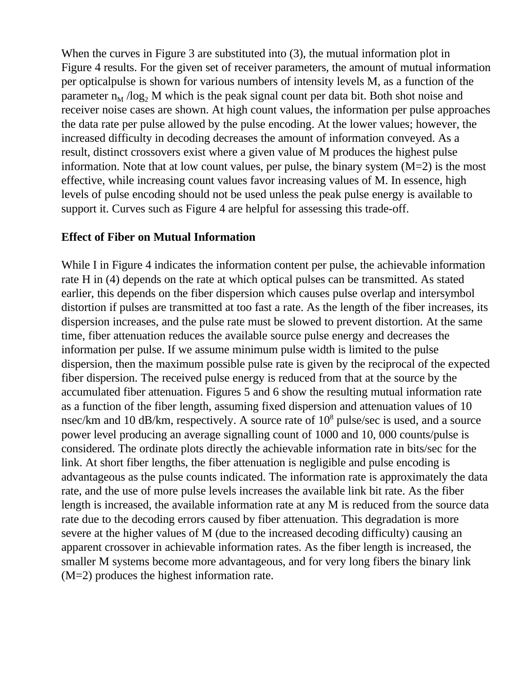When the curves in Figure 3 are substituted into (3), the mutual information plot in Figure 4 results. For the given set of receiver parameters, the amount of mutual information per opticalpulse is shown for various numbers of intensity levels M, as a function of the parameter  $n_M / log_2 M$  which is the peak signal count per data bit. Both shot noise and receiver noise cases are shown. At high count values, the information per pulse approaches the data rate per pulse allowed by the pulse encoding. At the lower values; however, the increased difficulty in decoding decreases the amount of information conveyed. As a result, distinct crossovers exist where a given value of M produces the highest pulse information. Note that at low count values, per pulse, the binary system  $(M=2)$  is the most effective, while increasing count values favor increasing values of M. In essence, high levels of pulse encoding should not be used unless the peak pulse energy is available to support it. Curves such as Figure 4 are helpful for assessing this trade-off.

## **Effect of Fiber on Mutual Information**

While I in Figure 4 indicates the information content per pulse, the achievable information rate H in (4) depends on the rate at which optical pulses can be transmitted. As stated earlier, this depends on the fiber dispersion which causes pulse overlap and intersymbol distortion if pulses are transmitted at too fast a rate. As the length of the fiber increases, its dispersion increases, and the pulse rate must be slowed to prevent distortion. At the same time, fiber attenuation reduces the available source pulse energy and decreases the information per pulse. If we assume minimum pulse width is limited to the pulse dispersion, then the maximum possible pulse rate is given by the reciprocal of the expected fiber dispersion. The received pulse energy is reduced from that at the source by the accumulated fiber attenuation. Figures 5 and 6 show the resulting mutual information rate as a function of the fiber length, assuming fixed dispersion and attenuation values of 10 nsec/km and 10 dB/km, respectively. A source rate of 10<sup>8</sup> pulse/sec is used, and a source power level producing an average signalling count of 1000 and 10, 000 counts/pulse is considered. The ordinate plots directly the achievable information rate in bits/sec for the link. At short fiber lengths, the fiber attenuation is negligible and pulse encoding is advantageous as the pulse counts indicated. The information rate is approximately the data rate, and the use of more pulse levels increases the available link bit rate. As the fiber length is increased, the available information rate at any M is reduced from the source data rate due to the decoding errors caused by fiber attenuation. This degradation is more severe at the higher values of M (due to the increased decoding difficulty) causing an apparent crossover in achievable information rates. As the fiber length is increased, the smaller M systems become more advantageous, and for very long fibers the binary link (M=2) produces the highest information rate.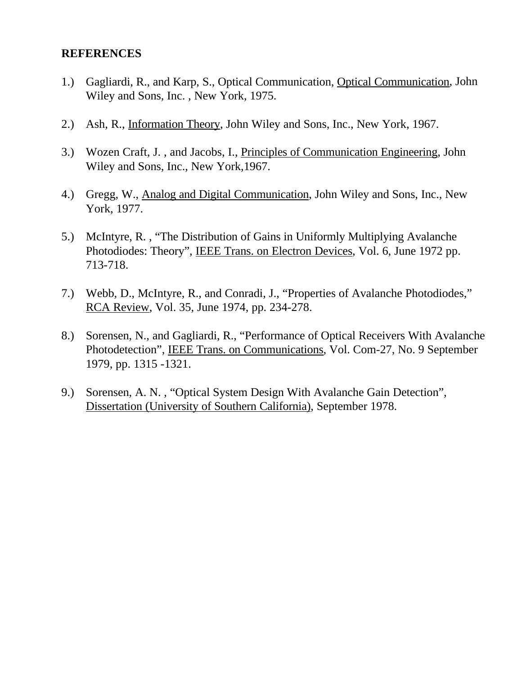## **REFERENCES**

- 1.) Gagliardi, R., and Karp, S., Optical Communication, Optical Communication, John Wiley and Sons, Inc. , New York, 1975.
- 2.) Ash, R., Information Theory, John Wiley and Sons, Inc., New York, 1967.
- 3.) Wozen Craft, J. , and Jacobs, I., Principles of Communication Engineering, John Wiley and Sons, Inc., New York,1967.
- 4.) Gregg, W., Analog and Digital Communication, John Wiley and Sons, Inc., New York, 1977.
- 5.) McIntyre, R. , "The Distribution of Gains in Uniformly Multiplying Avalanche Photodiodes: Theory", IEEE Trans. on Electron Devices, Vol. 6, June 1972 pp. 713-718.
- 7.) Webb, D., McIntyre, R., and Conradi, J., "Properties of Avalanche Photodiodes," RCA Review, Vol. 35, June 1974, pp. 234-278.
- 8.) Sorensen, N., and Gagliardi, R., "Performance of Optical Receivers With Avalanche Photodetection", IEEE Trans. on Communications, Vol. Com-27, No. 9 September 1979, pp. 1315 -1321.
- 9.) Sorensen, A. N. , "Optical System Design With Avalanche Gain Detection", Dissertation (University of Southern California), September 1978.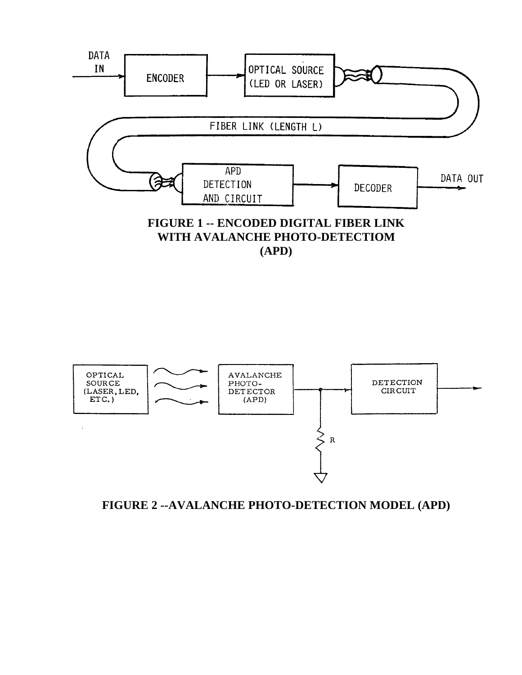



**FIGURE 2 --AVALANCHE PHOTO-DETECTION MODEL (APD)**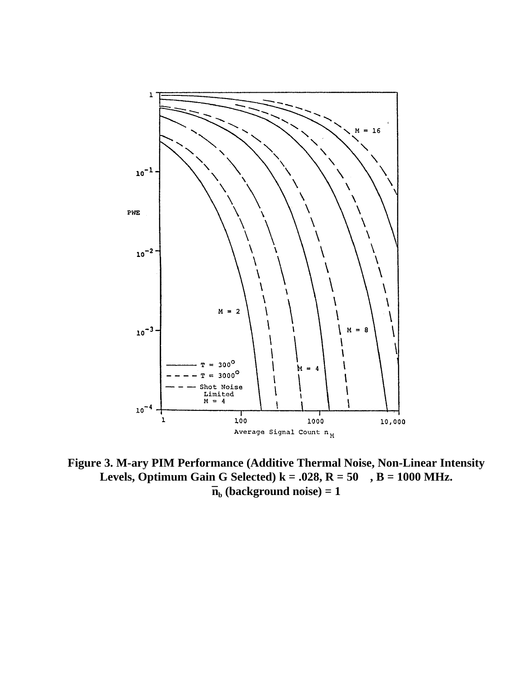

**Figure 3. M-ary PIM Performance (Additive Thermal Noise, Non-Linear Intensity** Levels, Optimum Gain G Selected)  $k = .028$ ,  $R = 50$ ,  $B = 1000$  MHz.  $\mathbf{\bar{n}}_{\mathbf{b}}$  (background noise) = 1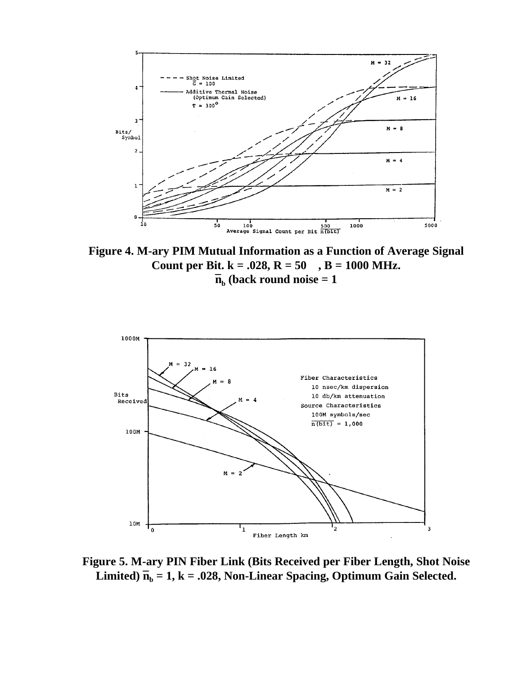

**Figure 4. M-ary PIM Mutual Information as a Function of Average Signal Count per Bit. k = .028, R = 50 , B = 1000 MHz.**  $\mathbf{\bar{n}}_{\mathbf{b}}$  (back round noise  $= 1$ 



**Figure 5. M-ary PIN Fiber Link (Bits Received per Fiber Length, Shot Noise** Limited)  $\bar{n}_b = 1$ , k = .028, Non-Linear Spacing, Optimum Gain Selected.